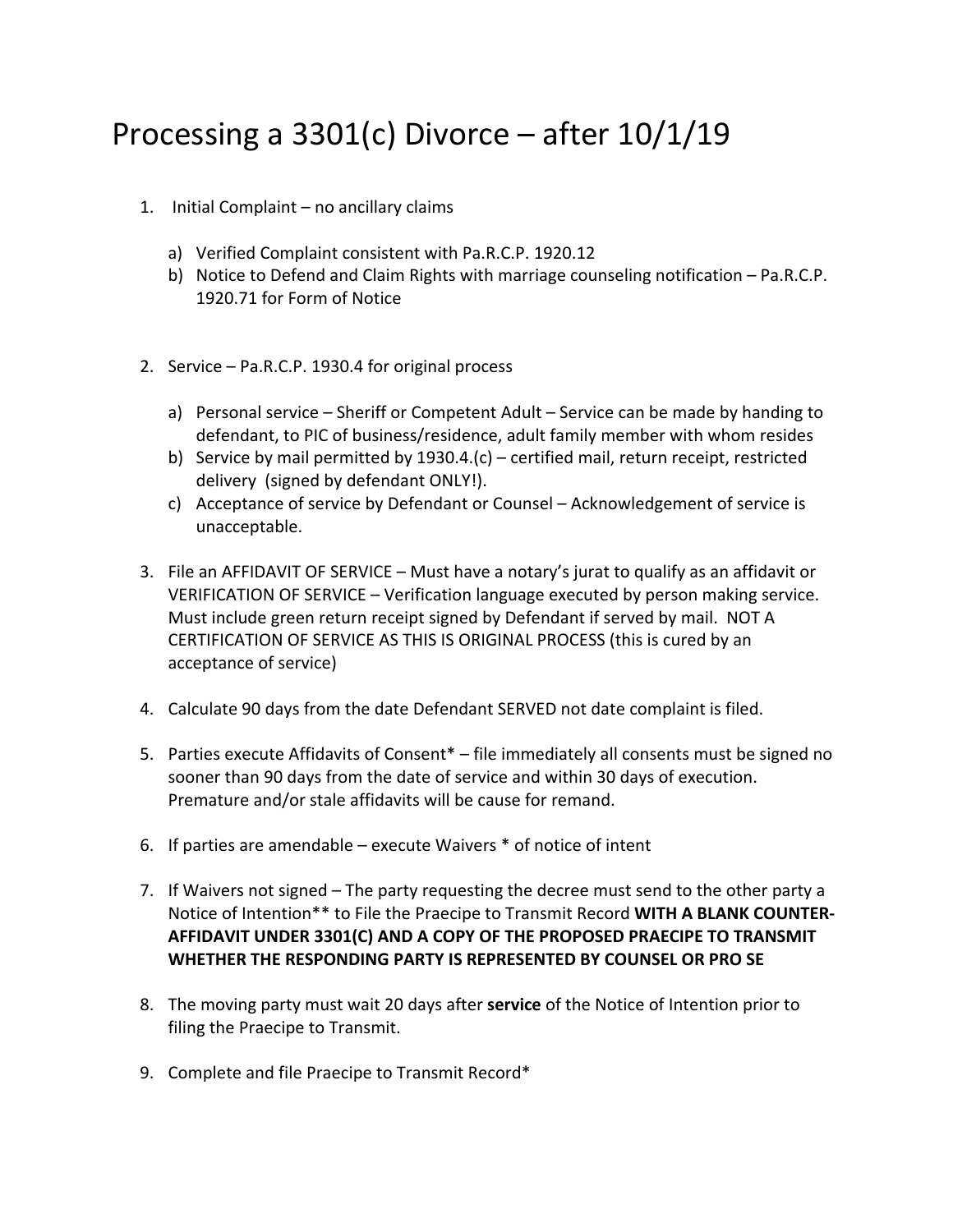## Processing a 3301(c) Divorce – after 10/1/19

- 1. Initial Complaint no ancillary claims
	- a) Verified Complaint consistent with Pa.R.C.P. 1920.12
	- b) Notice to Defend and Claim Rights with marriage counseling notification Pa.R.C.P. 1920.71 for Form of Notice
- 2. Service Pa.R.C.P. 1930.4 for original process
	- a) Personal service Sheriff or Competent Adult Service can be made by handing to defendant, to PIC of business/residence, adult family member with whom resides
	- b) Service by mail permitted by 1930.4.(c) certified mail, return receipt, restricted delivery (signed by defendant ONLY!).
	- c) Acceptance of service by Defendant or Counsel Acknowledgement of service is unacceptable.
- 3. File an AFFIDAVIT OF SERVICE Must have a notary's jurat to qualify as an affidavit or VERIFICATION OF SERVICE – Verification language executed by person making service. Must include green return receipt signed by Defendant if served by mail. NOT A CERTIFICATION OF SERVICE AS THIS IS ORIGINAL PROCESS (this is cured by an acceptance of service)
- 4. Calculate 90 days from the date Defendant SERVED not date complaint is filed.
- 5. Parties execute Affidavits of Consent\* file immediately all consents must be signed no sooner than 90 days from the date of service and within 30 days of execution. Premature and/or stale affidavits will be cause for remand.
- 6. If parties are amendable execute Waivers \* of notice of intent
- 7. If Waivers not signed The party requesting the decree must send to the other party a Notice of Intention\*\* to File the Praecipe to Transmit Record **WITH A BLANK COUNTER‐ AFFIDAVIT UNDER 3301(C) AND A COPY OF THE PROPOSED PRAECIPE TO TRANSMIT WHETHER THE RESPONDING PARTY IS REPRESENTED BY COUNSEL OR PRO SE**
- 8. The moving party must wait 20 days after **service** of the Notice of Intention prior to filing the Praecipe to Transmit.
- 9. Complete and file Praecipe to Transmit Record\*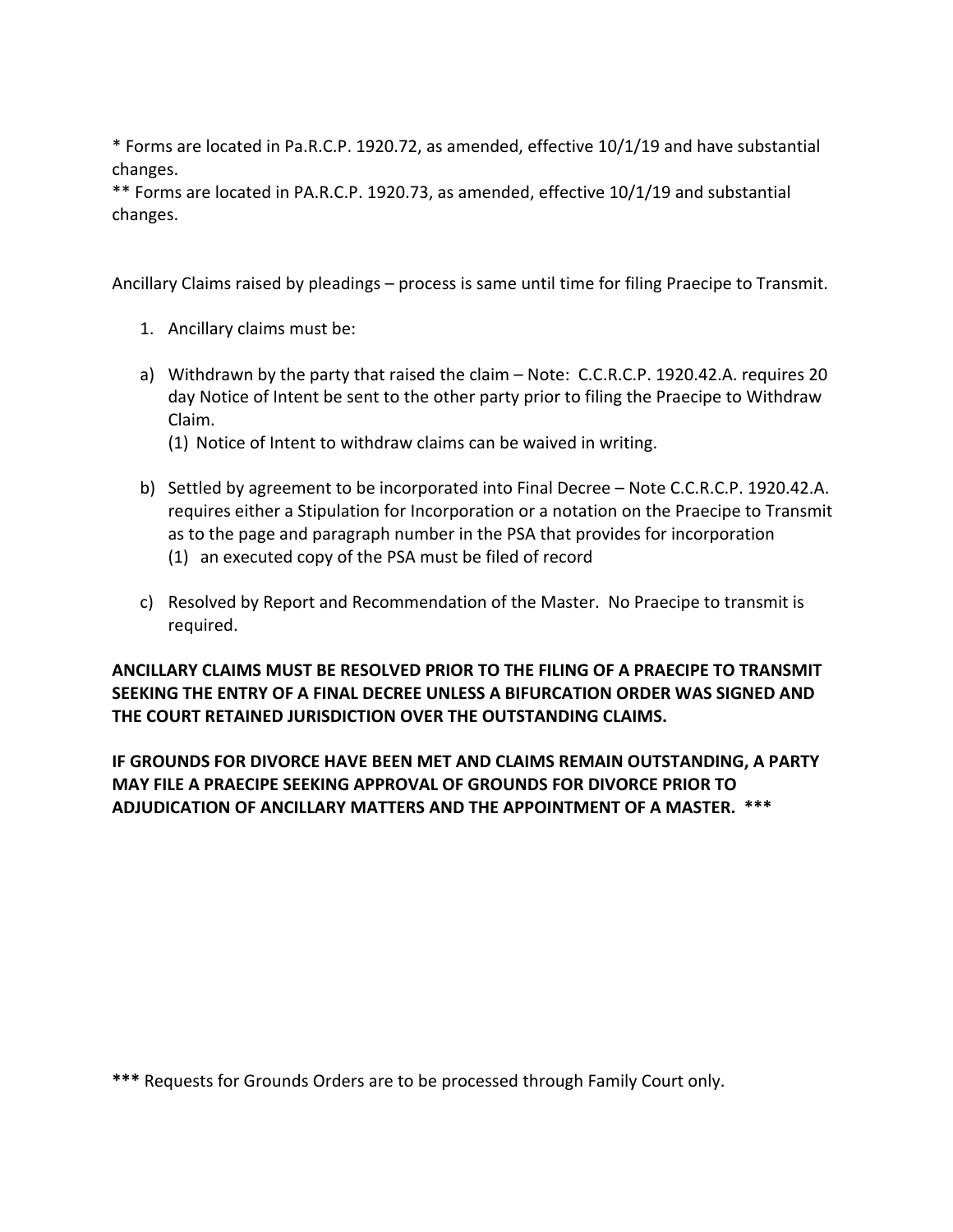\* Forms are located in Pa.R.C.P. 1920.72, as amended, effective 10/1/19 and have substantial changes.

\*\* Forms are located in PA.R.C.P. 1920.73, as amended, effective 10/1/19 and substantial changes.

Ancillary Claims raised by pleadings – process is same until time for filing Praecipe to Transmit.

- 1. Ancillary claims must be:
- a) Withdrawn by the party that raised the claim Note: C.C.R.C.P. 1920.42.A. requires 20 day Notice of Intent be sent to the other party prior to filing the Praecipe to Withdraw Claim.
	- (1) Notice of Intent to withdraw claims can be waived in writing.
- b) Settled by agreement to be incorporated into Final Decree Note C.C.R.C.P. 1920.42.A. requires either a Stipulation for Incorporation or a notation on the Praecipe to Transmit as to the page and paragraph number in the PSA that provides for incorporation (1) an executed copy of the PSA must be filed of record
- c) Resolved by Report and Recommendation of the Master. No Praecipe to transmit is required.

**ANCILLARY CLAIMS MUST BE RESOLVED PRIOR TO THE FILING OF A PRAECIPE TO TRANSMIT SEEKING THE ENTRY OF A FINAL DECREE UNLESS A BIFURCATION ORDER WAS SIGNED AND THE COURT RETAINED JURISDICTION OVER THE OUTSTANDING CLAIMS.** 

**IF GROUNDS FOR DIVORCE HAVE BEEN MET AND CLAIMS REMAIN OUTSTANDING, A PARTY MAY FILE A PRAECIPE SEEKING APPROVAL OF GROUNDS FOR DIVORCE PRIOR TO ADJUDICATION OF ANCILLARY MATTERS AND THE APPOINTMENT OF A MASTER. \*\*\*** 

**\*\*\*** Requests for Grounds Orders are to be processed through Family Court only.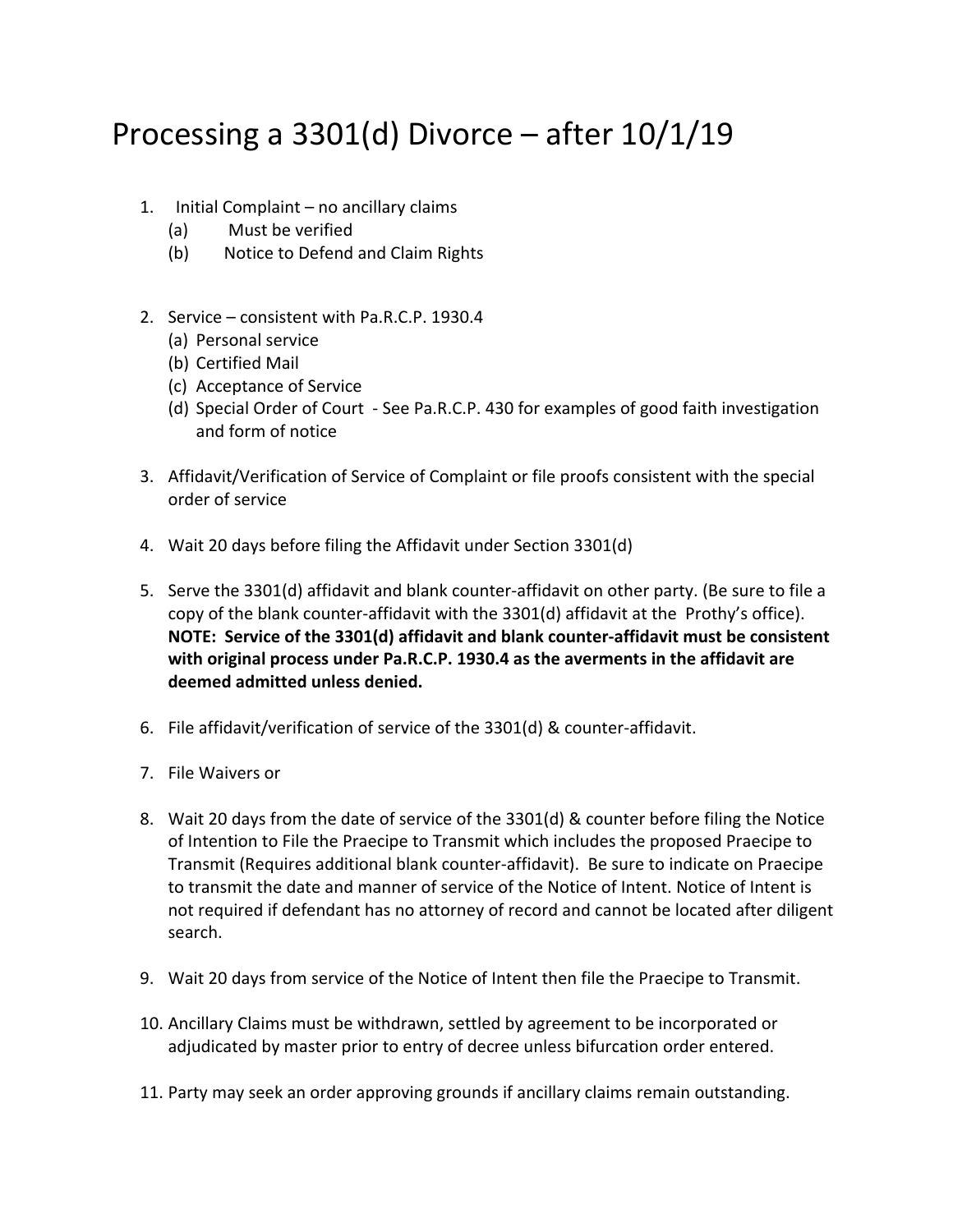## Processing a 3301(d) Divorce – after 10/1/19

- 1. Initial Complaint no ancillary claims
	- (a) Must be verified
	- (b) Notice to Defend and Claim Rights
- 2. Service consistent with Pa.R.C.P. 1930.4
	- (a) Personal service
	- (b) Certified Mail
	- (c) Acceptance of Service
	- (d) Special Order of Court ‐ See Pa.R.C.P. 430 for examples of good faith investigation and form of notice
- 3. Affidavit/Verification of Service of Complaint or file proofs consistent with the special order of service
- 4. Wait 20 days before filing the Affidavit under Section 3301(d)
- 5. Serve the 3301(d) affidavit and blank counter-affidavit on other party. (Be sure to file a copy of the blank counter‐affidavit with the 3301(d) affidavit at the Prothy's office). **NOTE: Service of the 3301(d) affidavit and blank counter‐affidavit must be consistent with original process under Pa.R.C.P. 1930.4 as the averments in the affidavit are deemed admitted unless denied.**
- 6. File affidavit/verification of service of the 3301(d) & counter‐affidavit.
- 7. File Waivers or
- 8. Wait 20 days from the date of service of the 3301(d) & counter before filing the Notice of Intention to File the Praecipe to Transmit which includes the proposed Praecipe to Transmit (Requires additional blank counter‐affidavit). Be sure to indicate on Praecipe to transmit the date and manner of service of the Notice of Intent. Notice of Intent is not required if defendant has no attorney of record and cannot be located after diligent search.
- 9. Wait 20 days from service of the Notice of Intent then file the Praecipe to Transmit.
- 10. Ancillary Claims must be withdrawn, settled by agreement to be incorporated or adjudicated by master prior to entry of decree unless bifurcation order entered.
- 11. Party may seek an order approving grounds if ancillary claims remain outstanding.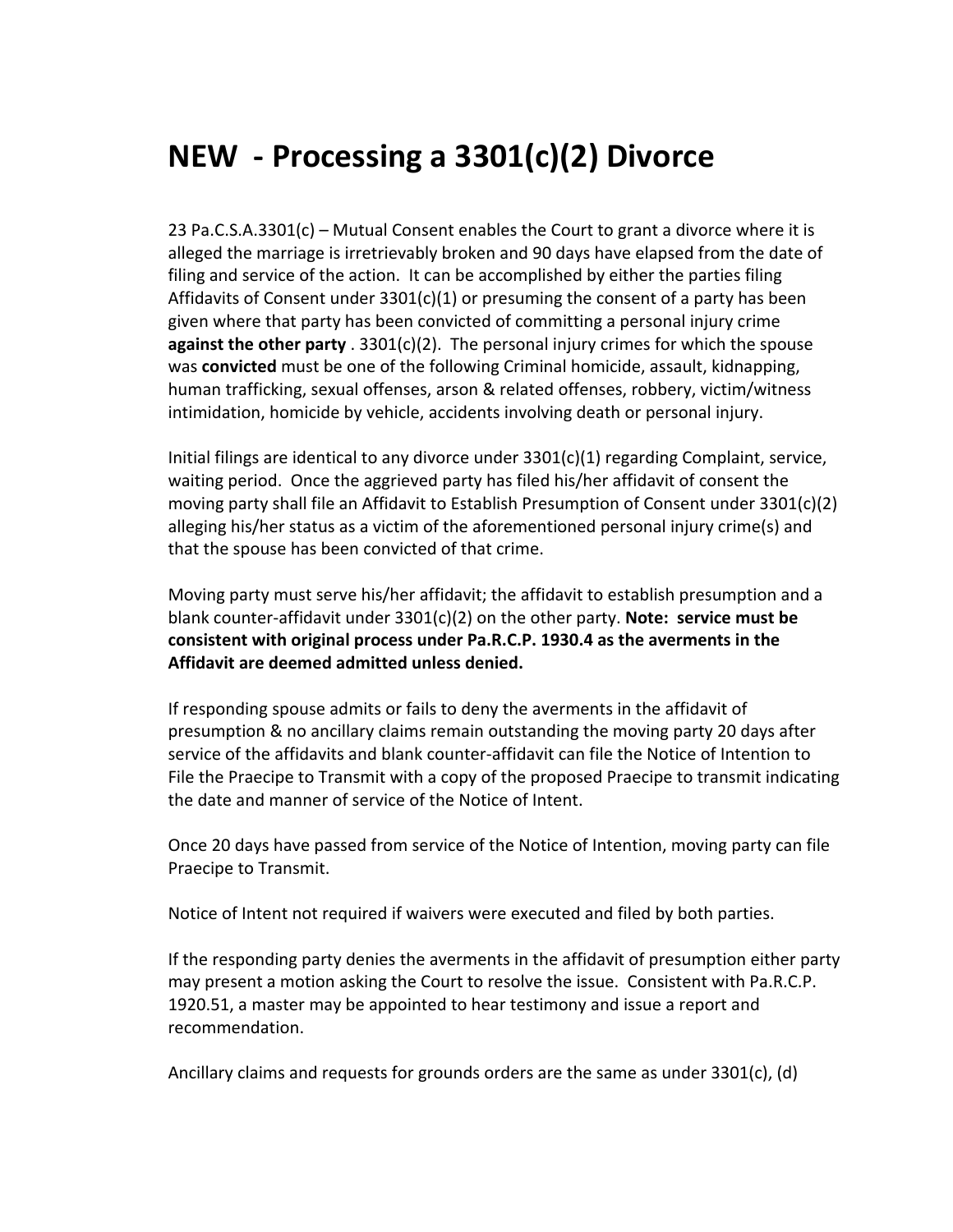## **NEW ‐ Processing a 3301(c)(2) Divorce**

23 Pa.C.S.A.3301(c) – Mutual Consent enables the Court to grant a divorce where it is alleged the marriage is irretrievably broken and 90 days have elapsed from the date of filing and service of the action. It can be accomplished by either the parties filing Affidavits of Consent under 3301(c)(1) or presuming the consent of a party has been given where that party has been convicted of committing a personal injury crime **against the other party** . 3301(c)(2). The personal injury crimes for which the spouse was **convicted** must be one of the following Criminal homicide, assault, kidnapping, human trafficking, sexual offenses, arson & related offenses, robbery, victim/witness intimidation, homicide by vehicle, accidents involving death or personal injury.

Initial filings are identical to any divorce under 3301(c)(1) regarding Complaint, service, waiting period. Once the aggrieved party has filed his/her affidavit of consent the moving party shall file an Affidavit to Establish Presumption of Consent under 3301(c)(2) alleging his/her status as a victim of the aforementioned personal injury crime(s) and that the spouse has been convicted of that crime.

Moving party must serve his/her affidavit; the affidavit to establish presumption and a blank counter‐affidavit under 3301(c)(2) on the other party. **Note: service must be consistent with original process under Pa.R.C.P. 1930.4 as the averments in the Affidavit are deemed admitted unless denied.** 

If responding spouse admits or fails to deny the averments in the affidavit of presumption & no ancillary claims remain outstanding the moving party 20 days after service of the affidavits and blank counter‐affidavit can file the Notice of Intention to File the Praecipe to Transmit with a copy of the proposed Praecipe to transmit indicating the date and manner of service of the Notice of Intent.

Once 20 days have passed from service of the Notice of Intention, moving party can file Praecipe to Transmit.

Notice of Intent not required if waivers were executed and filed by both parties.

If the responding party denies the averments in the affidavit of presumption either party may present a motion asking the Court to resolve the issue. Consistent with Pa.R.C.P. 1920.51, a master may be appointed to hear testimony and issue a report and recommendation.

Ancillary claims and requests for grounds orders are the same as under 3301(c), (d)